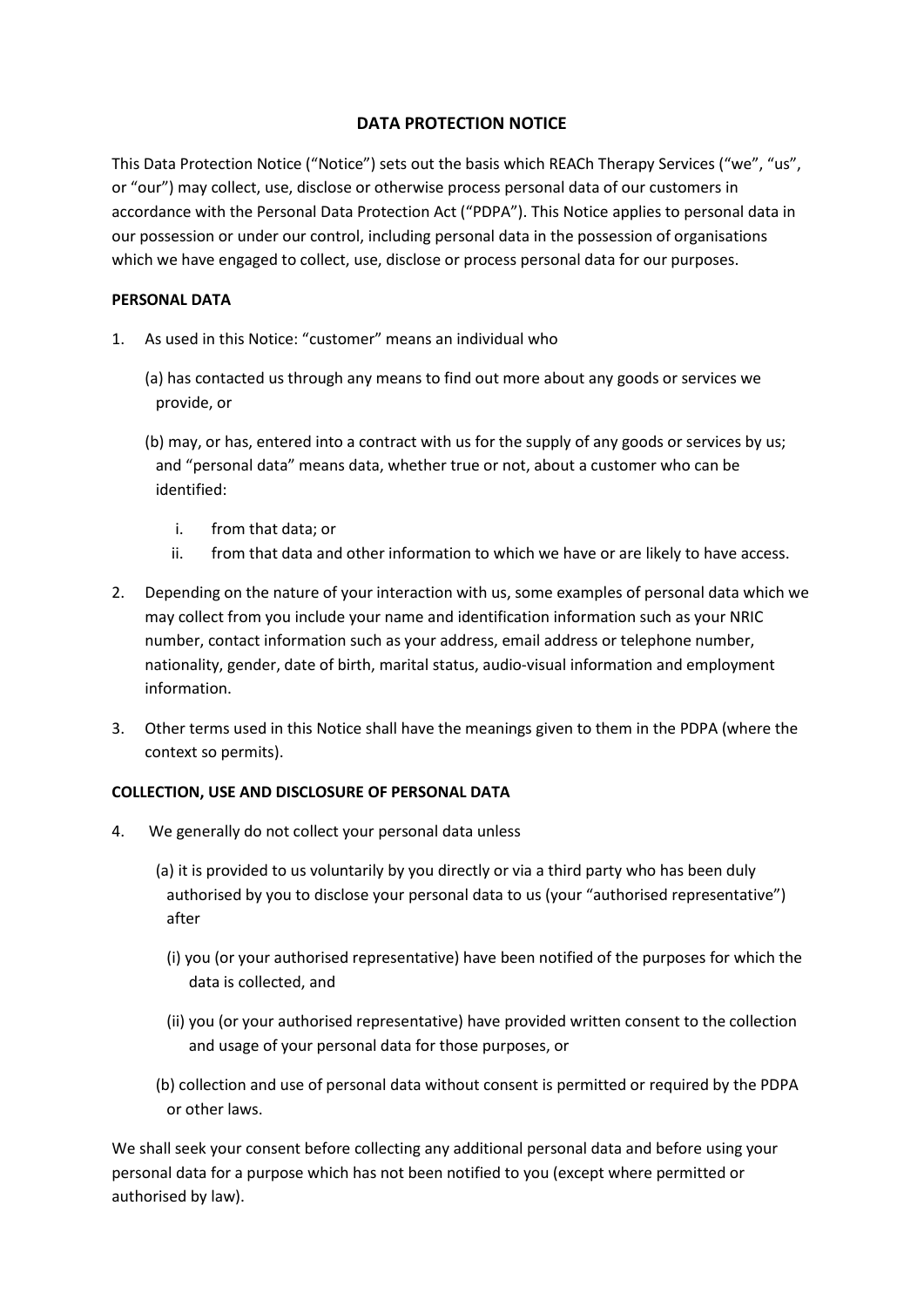# **DATA PROTECTION NOTICE**

This Data Protection Notice ("Notice") sets out the basis which REACh Therapy Services ("we", "us", or "our") may collect, use, disclose or otherwise process personal data of our customers in accordance with the Personal Data Protection Act ("PDPA"). This Notice applies to personal data in our possession or under our control, including personal data in the possession of organisations which we have engaged to collect, use, disclose or process personal data for our purposes.

## **PERSONAL DATA**

- 1. As used in this Notice: "customer" means an individual who
	- (a) has contacted us through any means to find out more about any goods or services we provide, or
	- (b) may, or has, entered into a contract with us for the supply of any goods or services by us; and "personal data" means data, whether true or not, about a customer who can be identified:
		- i. from that data; or
		- ii. from that data and other information to which we have or are likely to have access.
- 2. Depending on the nature of your interaction with us, some examples of personal data which we may collect from you include your name and identification information such as your NRIC number, contact information such as your address, email address or telephone number, nationality, gender, date of birth, marital status, audio-visual information and employment information.
- 3. Other terms used in this Notice shall have the meanings given to them in the PDPA (where the context so permits).

# **COLLECTION, USE AND DISCLOSURE OF PERSONAL DATA**

- 4. We generally do not collect your personal data unless
	- (a) it is provided to us voluntarily by you directly or via a third party who has been duly authorised by you to disclose your personal data to us (your "authorised representative") after
		- (i) you (or your authorised representative) have been notified of the purposes for which the data is collected, and
		- (ii) you (or your authorised representative) have provided written consent to the collection and usage of your personal data for those purposes, or
	- (b) collection and use of personal data without consent is permitted or required by the PDPA or other laws.

We shall seek your consent before collecting any additional personal data and before using your personal data for a purpose which has not been notified to you (except where permitted or authorised by law).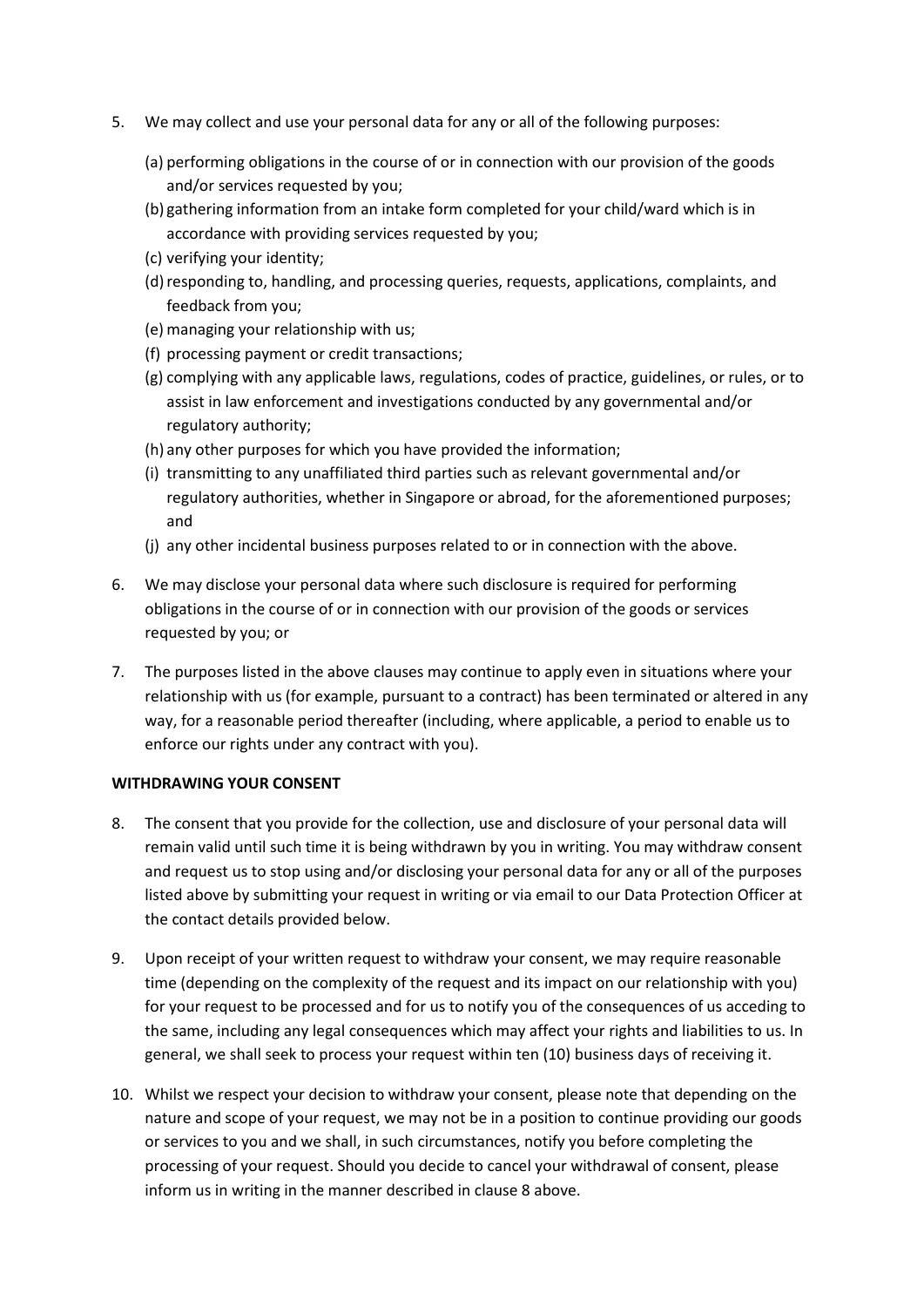- 5. We may collect and use your personal data for any or all of the following purposes:
	- (a) performing obligations in the course of or in connection with our provision of the goods and/or services requested by you;
	- (b) gathering information from an intake form completed for your child/ward which is in accordance with providing services requested by you;
	- (c) verifying your identity;
	- (d)responding to, handling, and processing queries, requests, applications, complaints, and feedback from you;
	- (e) managing your relationship with us;
	- (f) processing payment or credit transactions;
	- (g) complying with any applicable laws, regulations, codes of practice, guidelines, or rules, or to assist in law enforcement and investigations conducted by any governmental and/or regulatory authority;
	- (h) any other purposes for which you have provided the information;
	- (i) transmitting to any unaffiliated third parties such as relevant governmental and/or regulatory authorities, whether in Singapore or abroad, for the aforementioned purposes; and
	- (j) any other incidental business purposes related to or in connection with the above.
- 6. We may disclose your personal data where such disclosure is required for performing obligations in the course of or in connection with our provision of the goods or services requested by you; or
- 7. The purposes listed in the above clauses may continue to apply even in situations where your relationship with us (for example, pursuant to a contract) has been terminated or altered in any way, for a reasonable period thereafter (including, where applicable, a period to enable us to enforce our rights under any contract with you).

#### **WITHDRAWING YOUR CONSENT**

- 8. The consent that you provide for the collection, use and disclosure of your personal data will remain valid until such time it is being withdrawn by you in writing. You may withdraw consent and request us to stop using and/or disclosing your personal data for any or all of the purposes listed above by submitting your request in writing or via email to our Data Protection Officer at the contact details provided below.
- 9. Upon receipt of your written request to withdraw your consent, we may require reasonable time (depending on the complexity of the request and its impact on our relationship with you) for your request to be processed and for us to notify you of the consequences of us acceding to the same, including any legal consequences which may affect your rights and liabilities to us. In general, we shall seek to process your request within ten (10) business days of receiving it.
- 10. Whilst we respect your decision to withdraw your consent, please note that depending on the nature and scope of your request, we may not be in a position to continue providing our goods or services to you and we shall, in such circumstances, notify you before completing the processing of your request. Should you decide to cancel your withdrawal of consent, please inform us in writing in the manner described in clause 8 above.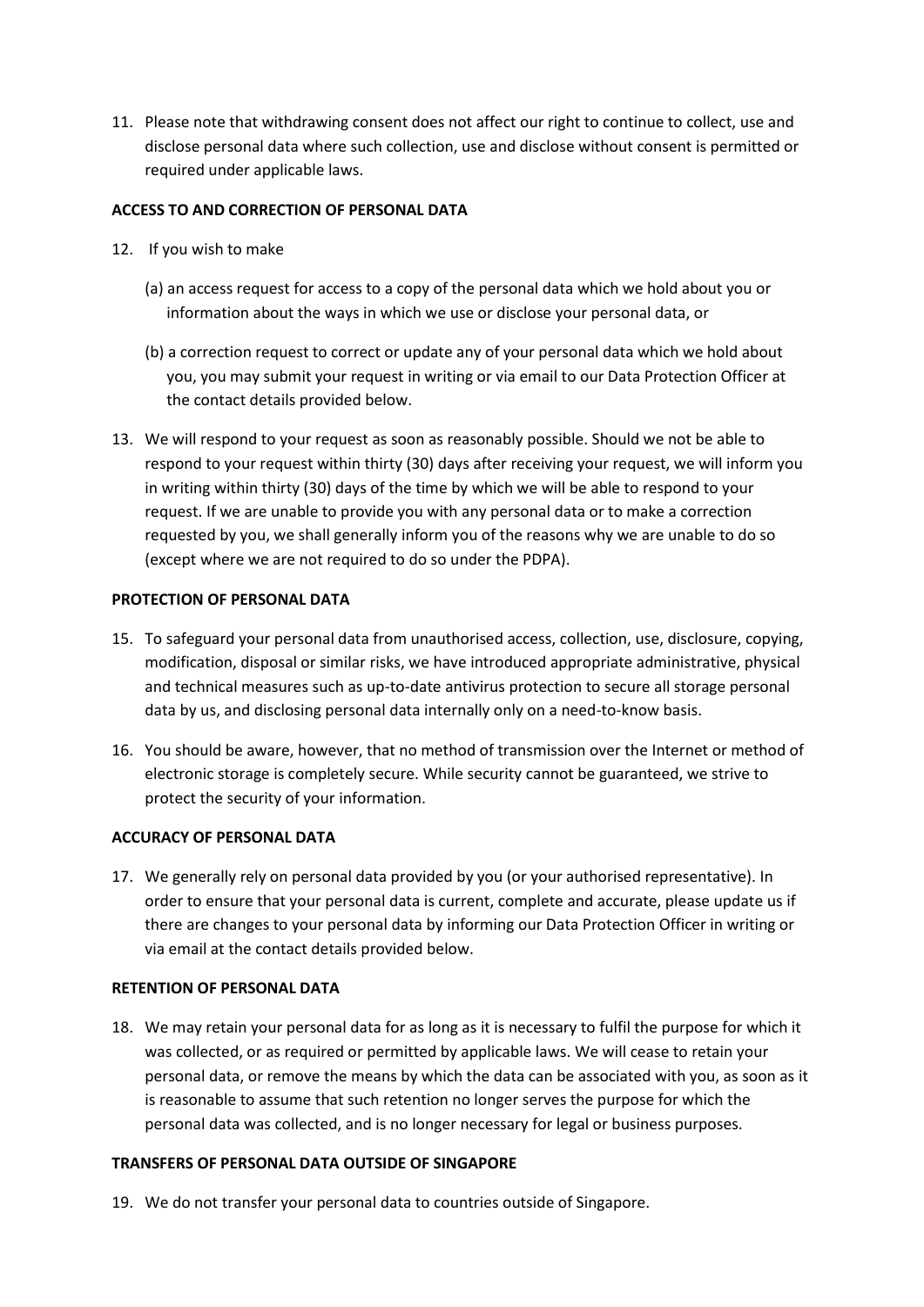11. Please note that withdrawing consent does not affect our right to continue to collect, use and disclose personal data where such collection, use and disclose without consent is permitted or required under applicable laws.

## **ACCESS TO AND CORRECTION OF PERSONAL DATA**

- 12. If you wish to make
	- (a) an access request for access to a copy of the personal data which we hold about you or information about the ways in which we use or disclose your personal data, or
	- (b) a correction request to correct or update any of your personal data which we hold about you, you may submit your request in writing or via email to our Data Protection Officer at the contact details provided below.
- 13. We will respond to your request as soon as reasonably possible. Should we not be able to respond to your request within thirty (30) days after receiving your request, we will inform you in writing within thirty (30) days of the time by which we will be able to respond to your request. If we are unable to provide you with any personal data or to make a correction requested by you, we shall generally inform you of the reasons why we are unable to do so (except where we are not required to do so under the PDPA).

### **PROTECTION OF PERSONAL DATA**

- 15. To safeguard your personal data from unauthorised access, collection, use, disclosure, copying, modification, disposal or similar risks, we have introduced appropriate administrative, physical and technical measures such as up-to-date antivirus protection to secure all storage personal data by us, and disclosing personal data internally only on a need-to-know basis.
- 16. You should be aware, however, that no method of transmission over the Internet or method of electronic storage is completely secure. While security cannot be guaranteed, we strive to protect the security of your information.

#### **ACCURACY OF PERSONAL DATA**

17. We generally rely on personal data provided by you (or your authorised representative). In order to ensure that your personal data is current, complete and accurate, please update us if there are changes to your personal data by informing our Data Protection Officer in writing or via email at the contact details provided below.

#### **RETENTION OF PERSONAL DATA**

18. We may retain your personal data for as long as it is necessary to fulfil the purpose for which it was collected, or as required or permitted by applicable laws. We will cease to retain your personal data, or remove the means by which the data can be associated with you, as soon as it is reasonable to assume that such retention no longer serves the purpose for which the personal data was collected, and is no longer necessary for legal or business purposes.

#### **TRANSFERS OF PERSONAL DATA OUTSIDE OF SINGAPORE**

19. We do not transfer your personal data to countries outside of Singapore.